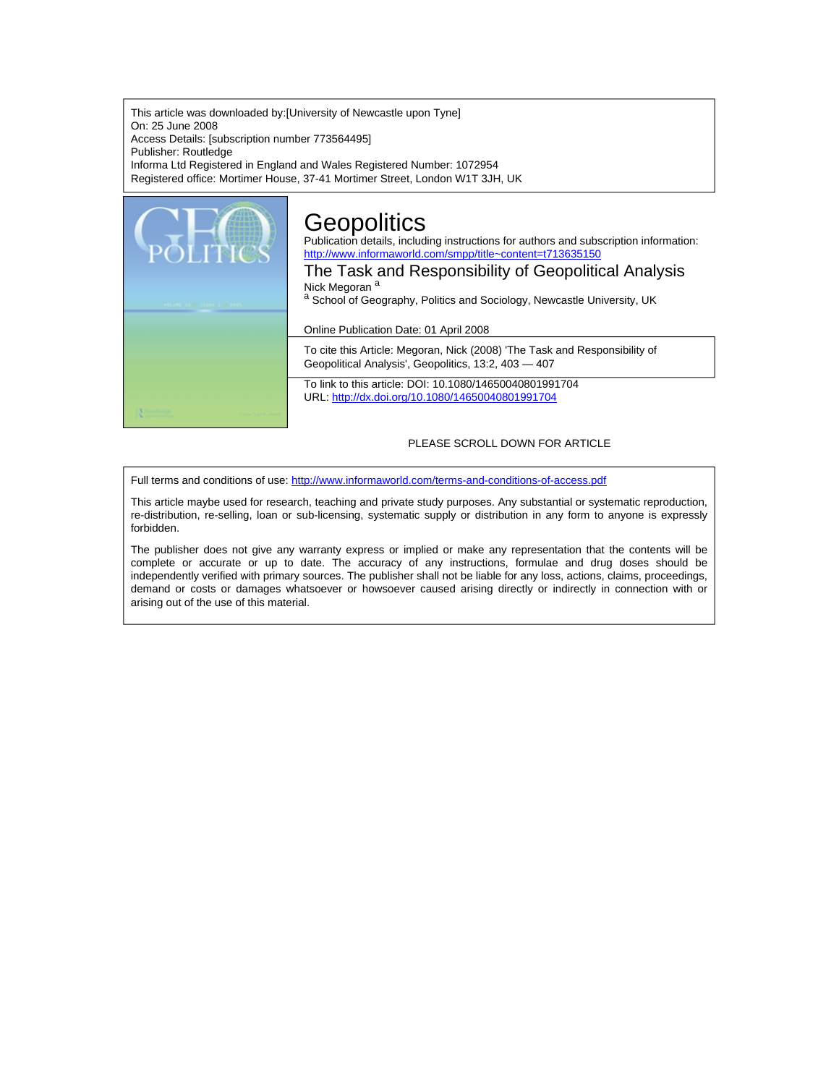This article was downloaded by:[University of Newcastle upon Tyne] On: 25 June 2008 Access Details: [subscription number 773564495] Publisher: Routledge Informa Ltd Registered in England and Wales Registered Number: 1072954 Registered office: Mortimer House, 37-41 Mortimer Street, London W1T 3JH, UK



# **Geopolitics**

Publication details, including instructions for authors and subscription information: <http://www.informaworld.com/smpp/title~content=t713635150>

The Task and Responsibility of Geopolitical Analysis Nick Megoran<sup>a</sup>

a School of Geography, Politics and Sociology, Newcastle University, UK

Online Publication Date: 01 April 2008

To cite this Article: Megoran, Nick (2008) 'The Task and Responsibility of Geopolitical Analysis', Geopolitics, 13:2, 403 — 407

To link to this article: DOI: 10.1080/14650040801991704 URL: <http://dx.doi.org/10.1080/14650040801991704>

#### PLEASE SCROLL DOWN FOR ARTICLE

Full terms and conditions of use: <http://www.informaworld.com/terms-and-conditions-of-access.pdf>

This article maybe used for research, teaching and private study purposes. Any substantial or systematic reproduction, re-distribution, re-selling, loan or sub-licensing, systematic supply or distribution in any form to anyone is expressly forbidden.

The publisher does not give any warranty express or implied or make any representation that the contents will be complete or accurate or up to date. The accuracy of any instructions, formulae and drug doses should be independently verified with primary sources. The publisher shall not be liable for any loss, actions, claims, proceedings, demand or costs or damages whatsoever or howsoever caused arising directly or indirectly in connection with or arising out of the use of this material.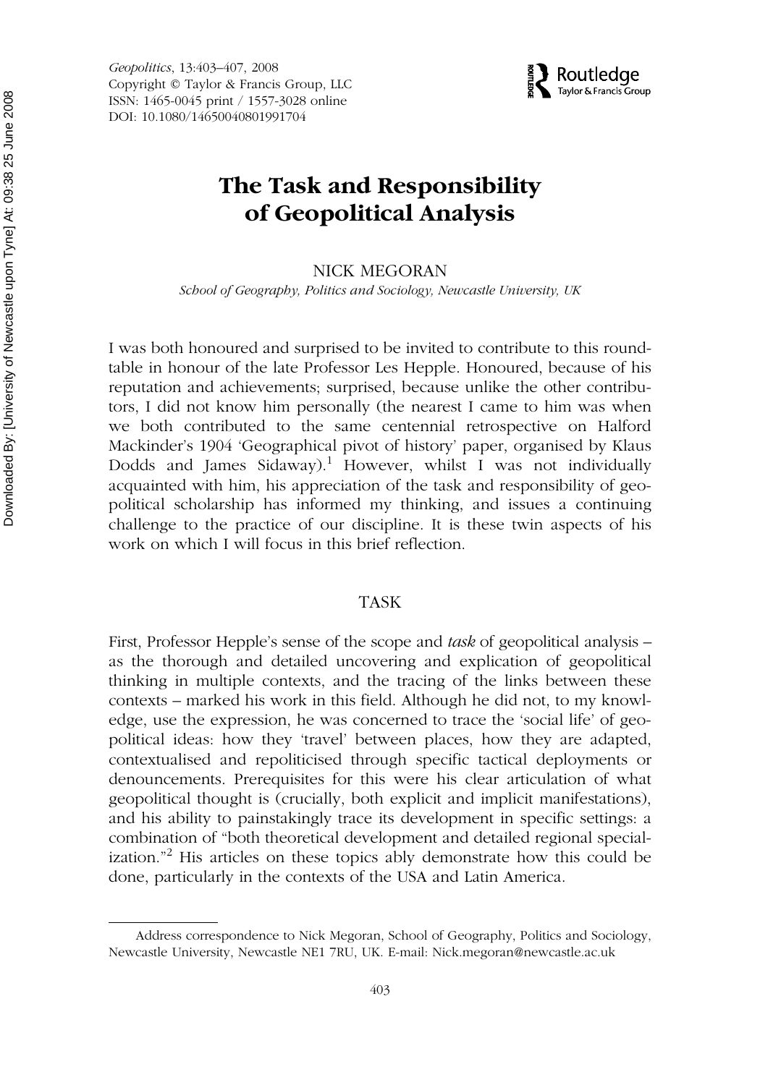*Geopolitics*, 13:403–407, 2008 Copyright © Taylor & Francis Group, LLC ISSN: 1465-0045 print / 1557-3028 online DOI: 10.1080/14650040801991704



## **The Task and Responsibility of Geopolitical Analysis**

#### NICK MEGORAN

*School of Geography, Politics and Sociology, Newcastle University, UK*

I was both honoured and surprised to be invited to contribute to this roundtable in honour of the late Professor Les Hepple. Honoured, because of his reputation and achievements; surprised, because unlike the other contributors, I did not know him personally (the nearest I came to him was when we both contributed to the same centennial retrospective on Halford Mackinder's 1904 'Geographical pivot of history' paper, organised by Klaus Dodds and James Sidaway).<sup>1</sup> However, whilst I was not individually acquainted with him, his appreciation of the task and responsibility of geopolitical scholarship has informed my thinking, and issues a continuing challenge to the practice of our discipline. It is these twin aspects of his work on which I will focus in this brief reflection.

### TASK

First, Professor Hepple's sense of the scope and *task* of geopolitical analysis – as the thorough and detailed uncovering and explication of geopolitical thinking in multiple contexts, and the tracing of the links between these contexts – marked his work in this field. Although he did not, to my knowledge, use the expression, he was concerned to trace the 'social life' of geopolitical ideas: how they 'travel' between places, how they are adapted, contextualised and repoliticised through specific tactical deployments or denouncements. Prerequisites for this were his clear articulation of what geopolitical thought is (crucially, both explicit and implicit manifestations), and his ability to painstakingly trace its development in specific settings: a combination of "both theoretical development and detailed regional specialization."<sup>2</sup> His articles on these topics ably demonstrate how this could be done, particularly in the contexts of the USA and Latin America.

Address correspondence to Nick Megoran, School of Geography, Politics and Sociology, Newcastle University, Newcastle NE1 7RU, UK. E-mail: Nick.megoran@newcastle.ac.uk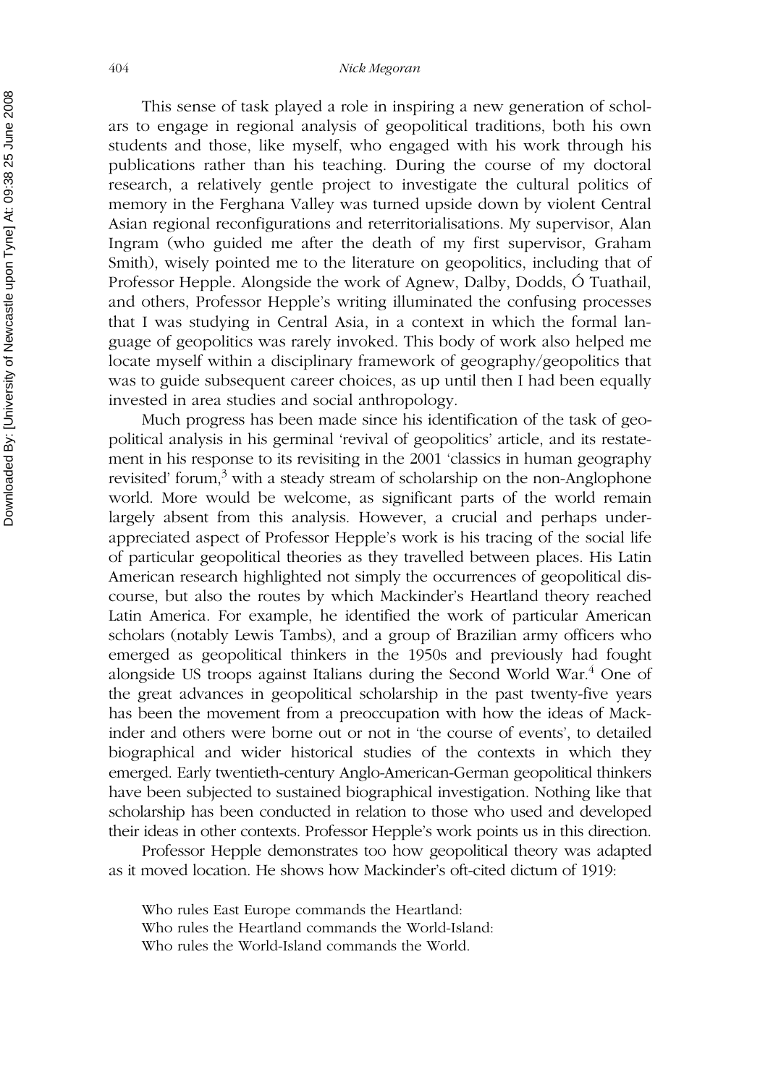This sense of task played a role in inspiring a new generation of scholars to engage in regional analysis of geopolitical traditions, both his own students and those, like myself, who engaged with his work through his publications rather than his teaching. During the course of my doctoral research, a relatively gentle project to investigate the cultural politics of memory in the Ferghana Valley was turned upside down by violent Central Asian regional reconfigurations and reterritorialisations. My supervisor, Alan Ingram (who guided me after the death of my first supervisor, Graham Smith), wisely pointed me to the literature on geopolitics, including that of Professor Hepple. Alongside the work of Agnew, Dalby, Dodds, Ó Tuathail, and others, Professor Hepple's writing illuminated the confusing processes that I was studying in Central Asia, in a context in which the formal language of geopolitics was rarely invoked. This body of work also helped me locate myself within a disciplinary framework of geography/geopolitics that was to guide subsequent career choices, as up until then I had been equally invested in area studies and social anthropology.

Much progress has been made since his identification of the task of geopolitical analysis in his germinal 'revival of geopolitics' article, and its restatement in his response to its revisiting in the 2001 'classics in human geography revisited' forum,<sup>3</sup> with a steady stream of scholarship on the non-Anglophone world. More would be welcome, as significant parts of the world remain largely absent from this analysis. However, a crucial and perhaps underappreciated aspect of Professor Hepple's work is his tracing of the social life of particular geopolitical theories as they travelled between places. His Latin American research highlighted not simply the occurrences of geopolitical discourse, but also the routes by which Mackinder's Heartland theory reached Latin America. For example, he identified the work of particular American scholars (notably Lewis Tambs), and a group of Brazilian army officers who emerged as geopolitical thinkers in the 1950s and previously had fought alongside US troops against Italians during the Second World War.<sup>4</sup> One of the great advances in geopolitical scholarship in the past twenty-five years has been the movement from a preoccupation with how the ideas of Mackinder and others were borne out or not in 'the course of events', to detailed biographical and wider historical studies of the contexts in which they emerged. Early twentieth-century Anglo-American-German geopolitical thinkers have been subjected to sustained biographical investigation. Nothing like that scholarship has been conducted in relation to those who used and developed their ideas in other contexts. Professor Hepple's work points us in this direction.

Professor Hepple demonstrates too how geopolitical theory was adapted as it moved location. He shows how Mackinder's oft-cited dictum of 1919:

Who rules East Europe commands the Heartland:

Who rules the Heartland commands the World-Island:

Who rules the World-Island commands the World.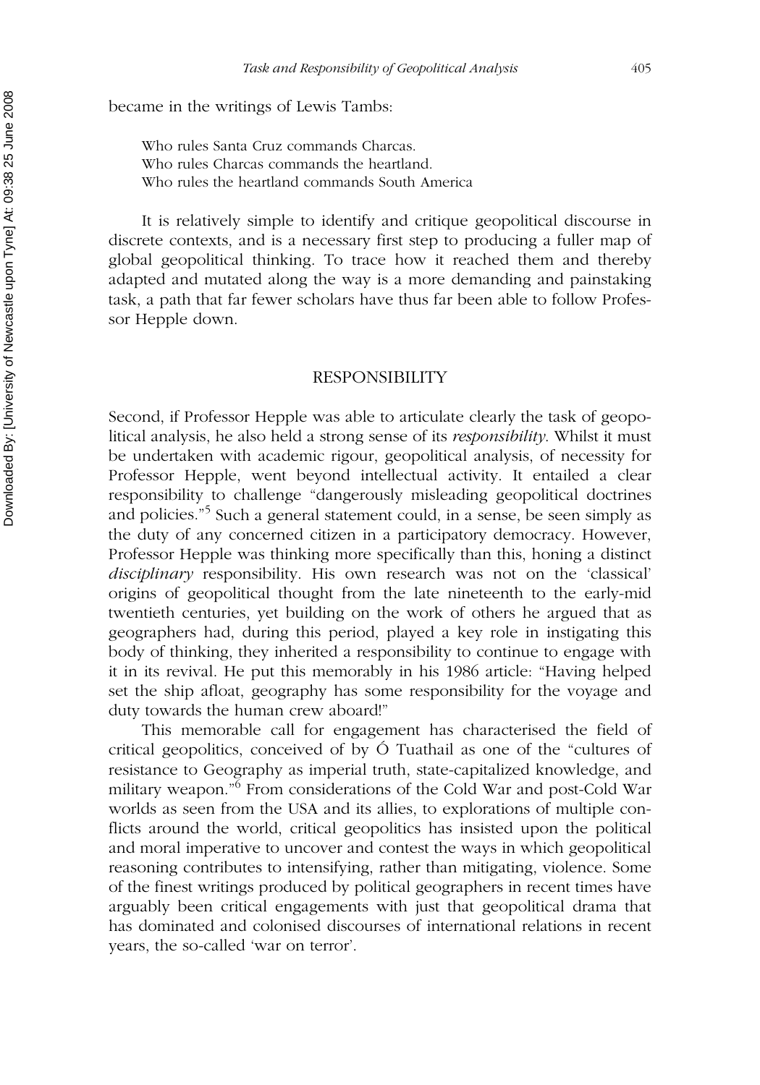became in the writings of Lewis Tambs:

Who rules Santa Cruz commands Charcas. Who rules Charcas commands the heartland. Who rules the heartland commands South America

It is relatively simple to identify and critique geopolitical discourse in discrete contexts, and is a necessary first step to producing a fuller map of global geopolitical thinking. To trace how it reached them and thereby adapted and mutated along the way is a more demanding and painstaking task, a path that far fewer scholars have thus far been able to follow Professor Hepple down.

#### RESPONSIBILITY

Second, if Professor Hepple was able to articulate clearly the task of geopolitical analysis, he also held a strong sense of its *responsibility*. Whilst it must be undertaken with academic rigour, geopolitical analysis, of necessity for Professor Hepple, went beyond intellectual activity. It entailed a clear responsibility to challenge "dangerously misleading geopolitical doctrines and policies."<sup>5</sup> Such a general statement could, in a sense, be seen simply as the duty of any concerned citizen in a participatory democracy. However, Professor Hepple was thinking more specifically than this, honing a distinct *disciplinary* responsibility. His own research was not on the 'classical' origins of geopolitical thought from the late nineteenth to the early-mid twentieth centuries, yet building on the work of others he argued that as geographers had, during this period, played a key role in instigating this body of thinking, they inherited a responsibility to continue to engage with it in its revival. He put this memorably in his 1986 article: "Having helped set the ship afloat, geography has some responsibility for the voyage and duty towards the human crew aboard!"

This memorable call for engagement has characterised the field of critical geopolitics, conceived of by Ó Tuathail as one of the "cultures of resistance to Geography as imperial truth, state-capitalized knowledge, and military weapon."<sup>6</sup> From considerations of the Cold War and post-Cold War worlds as seen from the USA and its allies, to explorations of multiple conflicts around the world, critical geopolitics has insisted upon the political and moral imperative to uncover and contest the ways in which geopolitical reasoning contributes to intensifying, rather than mitigating, violence. Some of the finest writings produced by political geographers in recent times have arguably been critical engagements with just that geopolitical drama that has dominated and colonised discourses of international relations in recent years, the so-called 'war on terror'.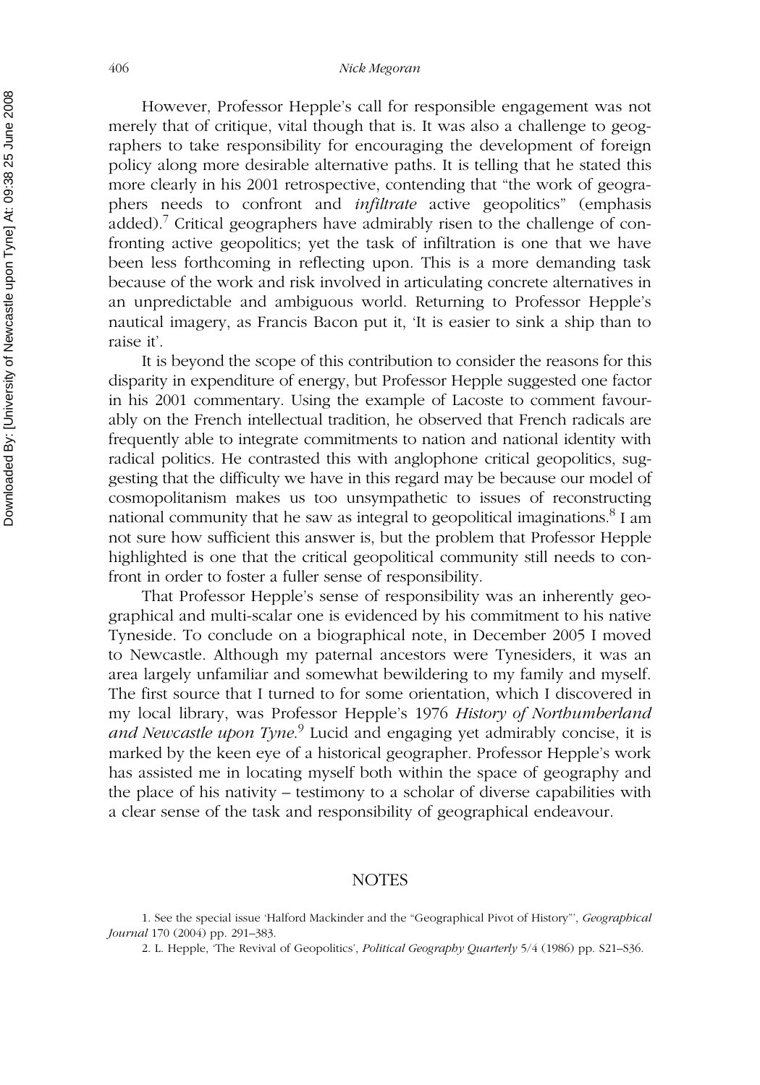However, Professor Hepple's call for responsible engagement was not merely that of critique, vital though that is. It was also a challenge to geographers to take responsibility for encouraging the development of foreign policy along more desirable alternative paths. It is telling that he stated this more clearly in his 2001 retrospective, contending that "the work of geographers needs to confront and *infiltrate* active geopolitics" (emphasis added).<sup>7</sup> Critical geographers have admirably risen to the challenge of confronting active geopolitics; yet the task of infiltration is one that we have been less forthcoming in reflecting upon. This is a more demanding task because of the work and risk involved in articulating concrete alternatives in an unpredictable and ambiguous world. Returning to Professor Hepple's nautical imagery, as Francis Bacon put it, 'It is easier to sink a ship than to raise it'.

It is beyond the scope of this contribution to consider the reasons for this disparity in expenditure of energy, but Professor Hepple suggested one factor in his 2001 commentary. Using the example of Lacoste to comment favourably on the French intellectual tradition, he observed that French radicals are frequently able to integrate commitments to nation and national identity with radical politics. He contrasted this with anglophone critical geopolitics, suggesting that the difficulty we have in this regard may be because our model of cosmopolitanism makes us too unsympathetic to issues of reconstructing national community that he saw as integral to geopolitical imaginations.<sup>8</sup> I am not sure how sufficient this answer is, but the problem that Professor Hepple highlighted is one that the critical geopolitical community still needs to confront in order to foster a fuller sense of responsibility.

That Professor Hepple's sense of responsibility was an inherently geographical and multi-scalar one is evidenced by his commitment to his native Tyneside. To conclude on a biographical note, in December 2005 I moved to Newcastle. Although my paternal ancestors were Tynesiders, it was an area largely unfamiliar and somewhat bewildering to my family and myself. The first source that I turned to for some orientation, which I discovered in my local library, was Professor Hepple's 1976 *History of Northumberland and Newcastle upon Tyne*. 9 Lucid and engaging yet admirably concise, it is marked by the keen eye of a historical geographer. Professor Hepple's work has assisted me in locating myself both within the space of geography and the place of his nativity – testimony to a scholar of diverse capabilities with a clear sense of the task and responsibility of geographical endeavour.

#### **NOTES**

<sup>1.</sup> See the special issue 'Halford Mackinder and the "Geographical Pivot of History"', *Geographical Journal* 170 (2004) pp. 291–383.

<sup>2.</sup> L. Hepple, 'The Revival of Geopolitics', *Political Geography Quarterly* 5/4 (1986) pp. S21–S36.